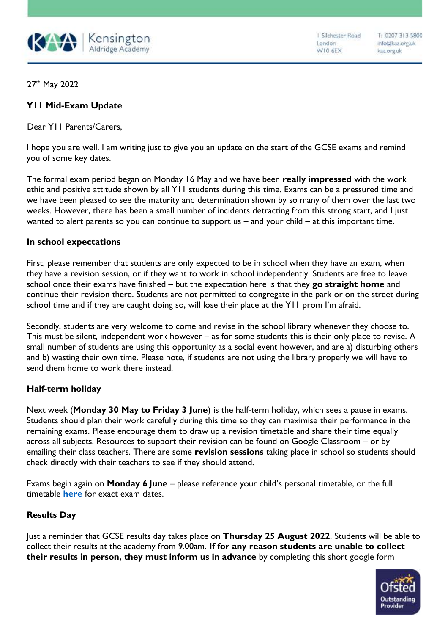

1 Silchester Road London W10 6EX

T: 0207 313 5800 info@kaa.org.uk kaa.org.uk

27th May 2022

## **Y11 Mid-Exam Update**

Dear Y<sub>11</sub> Parents/Carers,

I hope you are well. I am writing just to give you an update on the start of the GCSE exams and remind you of some key dates.

The formal exam period began on Monday 16 May and we have been **really impressed** with the work ethic and positive attitude shown by all Y11 students during this time. Exams can be a pressured time and we have been pleased to see the maturity and determination shown by so many of them over the last two weeks. However, there has been a small number of incidents detracting from this strong start, and I just wanted to alert parents so you can continue to support us – and your child – at this important time.

## **In school expectations**

First, please remember that students are only expected to be in school when they have an exam, when they have a revision session, or if they want to work in school independently. Students are free to leave school once their exams have finished – but the expectation here is that they **go straight home** and continue their revision there. Students are not permitted to congregate in the park or on the street during school time and if they are caught doing so, will lose their place at the Y11 prom I'm afraid.

Secondly, students are very welcome to come and revise in the school library whenever they choose to. This must be silent, independent work however – as for some students this is their only place to revise. A small number of students are using this opportunity as a social event however, and are a) disturbing others and b) wasting their own time. Please note, if students are not using the library properly we will have to send them home to work there instead.

## **Half-term holiday**

Next week (**Monday 30 May to Friday 3 June**) is the half-term holiday, which sees a pause in exams. Students should plan their work carefully during this time so they can maximise their performance in the remaining exams. Please encourage them to draw up a revision timetable and share their time equally across all subjects. Resources to support their revision can be found on Google Classroom – or by emailing their class teachers. There are some **revision sessions** taking place in school so students should check directly with their teachers to see if they should attend.

Exams begin again on **Monday 6 June** – please reference your child's personal timetable, or the full timetable **[here](https://kaa.org.uk/wp-content/uploads/2022/04/GCSE-Examination-Timetable-2022-FINAL.pdf)** for exact exam dates.

## **Results Day**

Just a reminder that GCSE results day takes place on **Thursday 25 August 2022**. Students will be able to collect their results at the academy from 9.00am. **If for any reason students are unable to collect their results in person, they must inform us in advance** by completing this short google form